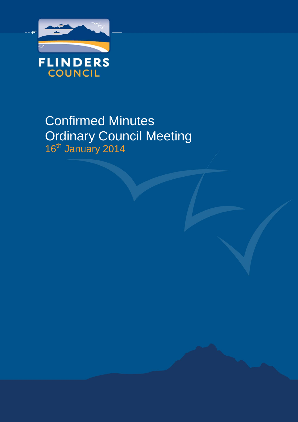

# Confirmed Minutes Ordinary Council Meeting 16<sup>th</sup> January 2014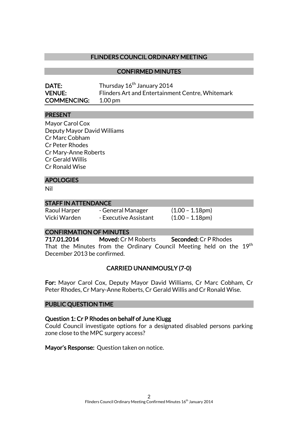## FLINDERS COUNCIL ORDINARY MEETING

#### CONFIRMED MINUTES

| <b>DATE:</b>       | Thursday 16 <sup>th</sup> January 2014           |
|--------------------|--------------------------------------------------|
| <b>VENUE:</b>      | Flinders Art and Entertainment Centre, Whitemark |
| <b>COMMENCING:</b> | $1.00 \,\mathrm{pm}$                             |

#### PRESENT

Mayor Carol Cox Deputy Mayor David Williams Cr Marc Cobham Cr Peter Rhodes Cr Mary-Anne Roberts Cr Gerald Willis Cr Ronald Wise

#### **APOLOGIES**

Nil

#### STAFF IN ATTENDANCE

| Raoul Harper |  |
|--------------|--|
| Vicki Warden |  |

 $-$  General Manager  $(1.00 - 1.18pm)$ - Executive Assistant (1.00 – 1.18pm)

#### CONFIRMATION OF MINUTES

717.01.2014 Moved: Cr M Roberts Seconded: Cr P Rhodes That the Minutes from the Ordinary Council Meeting held on the 19<sup>th</sup> December 2013 be confirmed.

## CARRIED UNANIMOUSLY (7-0)

For: Mayor Carol Cox, Deputy Mayor David Williams, Cr Marc Cobham, Cr Peter Rhodes, Cr Mary-Anne Roberts, Cr Gerald Willis and Cr Ronald Wise.

#### PUBLIC QUESTION TIME

#### Question 1: Cr P Rhodes on behalf of June Klugg

Could Council investigate options for a designated disabled persons parking zone close to the MPC surgery access?

Mayor's Response: Question taken on notice.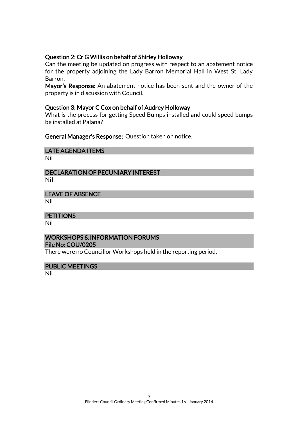## Question 2: Cr G Willis on behalf of Shirley Holloway

Can the meeting be updated on progress with respect to an abatement notice for the property adjoining the Lady Barron Memorial Hall in West St, Lady Barron.

Mayor's Response: An abatement notice has been sent and the owner of the property is in discussion with Council.

#### Question 3: Mayor C Cox on behalf of Audrey Holloway

What is the process for getting Speed Bumps installed and could speed bumps be installed at Palana?

General Manager's Response: Question taken on notice.

### LATE AGENDA ITEMS

Nil

#### DECLARATION OF PECUNIARY INTEREST Nil

#### LEAVE OF ABSENCE

Nil

#### **PETITIONS**

Nil

#### WORKSHOPS & INFORMATION FORUMS File No: COU/0205

There were no Councillor Workshops held in the reporting period.

#### PUBLIC MEETINGS

Nil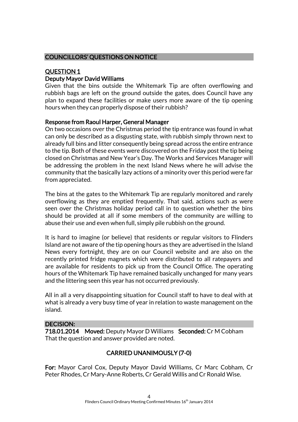## COUNCILLORS' QUESTIONS ON NOTICE

## QUESTION 1 Deputy Mayor David Williams

Given that the bins outside the Whitemark Tip are often overflowing and rubbish bags are left on the ground outside the gates, does Council have any plan to expand these facilities or make users more aware of the tip opening hours when they can properly dispose of their rubbish?

## Response from Raoul Harper, General Manager

On two occasions over the Christmas period the tip entrance was found in what can only be described as a disgusting state, with rubbish simply thrown next to already full bins and litter consequently being spread across the entire entrance to the tip. Both of these events were discovered on the Friday post the tip being closed on Christmas and New Year's Day. The Works and Services Manager will be addressing the problem in the next Island News where he will advise the community that the basically lazy actions of a minority over this period were far from appreciated.

The bins at the gates to the Whitemark Tip are regularly monitored and rarely overflowing as they are emptied frequently. That said, actions such as were seen over the Christmas holiday period call in to question whether the bins should be provided at all if some members of the community are willing to abuse their use and even when full, simply pile rubbish on the ground.

It is hard to imagine (or believe) that residents or regular visitors to Flinders Island are not aware of the tip opening hours as they are advertised in the Island News every fortnight, they are on our Council website and are also on the recently printed fridge magnets which were distributed to all ratepayers and are available for residents to pick up from the Council Office. The operating hours of the Whitemark Tip have remained basically unchanged for many years and the littering seen this year has not occurred previously.

All in all a very disappointing situation for Council staff to have to deal with at what is already a very busy time of year in relation to waste management on the island.

## DECISION:

718.01.2014 Moved: Deputy Mayor D Williams Seconded: Cr M Cobham That the question and answer provided are noted.

## CARRIED UNANIMOUSLY (7-0)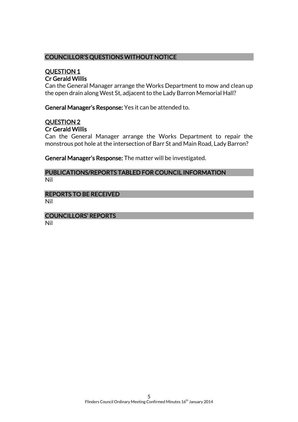## COUNCILLOR'S QUESTIONS WITHOUT NOTICE

## QUESTION 1 Cr Gerald Willis

Can the General Manager arrange the Works Department to mow and clean up the open drain along West St, adjacent to the Lady Barron Memorial Hall?

General Manager's Response: Yes it can be attended to.

#### QUESTION 2 Cr Gerald Willis

Can the General Manager arrange the Works Department to repair the monstrous pot hole at the intersection of Barr St and Main Road, Lady Barron?

General Manager's Response: The matter will be investigated.

#### PUBLICATIONS/REPORTS TABLED FOR COUNCIL INFORMATION Nil

## REPORTS TO BE RECEIVED

Nil

## COUNCILLORS' REPORTS

Nil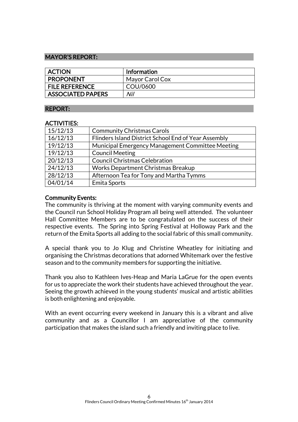## MAYOR'S REPORT:

| <b>ACTION</b>            | <b>Information</b> |
|--------------------------|--------------------|
| <b>PROPONENT</b>         | Mayor Carol Cox    |
| <b>FILE REFERENCE</b>    | COU/0600           |
| <b>ASSOCIATED PAPERS</b> | Nil                |

#### REPORT:

#### ACTIVITIES:

| 15/12/13 | <b>Community Christmas Carols</b>                    |
|----------|------------------------------------------------------|
| 16/12/13 | Flinders Island District School End of Year Assembly |
| 19/12/13 | Municipal Emergency Management Committee Meeting     |
| 19/12/13 | <b>Council Meeting</b>                               |
| 20/12/13 | <b>Council Christmas Celebration</b>                 |
| 24/12/13 | Works Department Christmas Breakup                   |
| 28/12/13 | Afternoon Tea for Tony and Martha Tymms              |
| 04/01/14 | Emita Sports                                         |

#### Community Events:

The community is thriving at the moment with varying community events and the Council run School Holiday Program all being well attended. The volunteer Hall Committee Members are to be congratulated on the success of their respective events. The Spring into Spring Festival at Holloway Park and the return of the Emita Sports all adding to the social fabric of this small community.

A special thank you to Jo Klug and Christine Wheatley for initiating and organising the Christmas decorations that adorned Whitemark over the festive season and to the community members for supporting the initiative.

Thank you also to Kathleen Ives-Heap and Maria LaGrue for the open events for us to appreciate the work their students have achieved throughout the year. Seeing the growth achieved in the young students' musical and artistic abilities is both enlightening and enjoyable.

With an event occurring every weekend in January this is a vibrant and alive community and as a Councillor I am appreciative of the community participation that makes the island such a friendly and inviting place to live.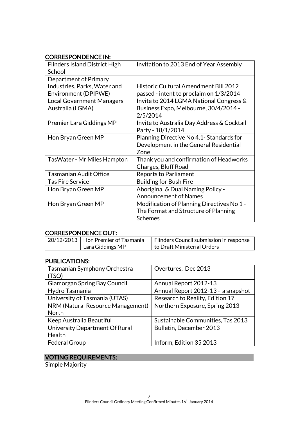## CORRESPONDENCE IN:

| <b>Flinders Island District High</b><br>School | Invitation to 2013 End of Year Assembly      |
|------------------------------------------------|----------------------------------------------|
| Department of Primary                          |                                              |
| Industries, Parks, Water and                   | <b>Historic Cultural Amendment Bill 2012</b> |
| Environment (DPIPWE)                           | passed - intent to proclaim on 1/3/2014      |
| <b>Local Government Managers</b>               | Invite to 2014 LGMA National Congress &      |
| Australia (LGMA)                               | Business Expo, Melbourne, 30/4/2014 -        |
|                                                | 2/5/2014                                     |
| <b>Premier Lara Giddings MP</b>                | Invite to Australia Day Address & Cocktail   |
|                                                | Party - 18/1/2014                            |
| Hon Bryan Green MP                             | Planning Directive No 4.1- Standards for     |
|                                                | Development in the General Residential       |
|                                                | Zone                                         |
| TasWater - Mr Miles Hampton                    | Thank you and confirmation of Headworks      |
|                                                | Charges, Bluff Road                          |
| <b>Tasmanian Audit Office</b>                  | <b>Reports to Parliament</b>                 |
| <b>Tas Fire Service</b>                        | <b>Building for Bush Fire</b>                |
| Hon Bryan Green MP                             | Aboriginal & Dual Naming Policy -            |
|                                                | <b>Announcement of Names</b>                 |
| Hon Bryan Green MP                             | Modification of Planning Directives No 1 -   |
|                                                | The Format and Structure of Planning         |
|                                                | <b>Schemes</b>                               |

## CORRESPONDENCE OUT:

| 20/12/2013   Hon Premier of Tasmania | Flinders Council submission in response |
|--------------------------------------|-----------------------------------------|
| Lara Giddings MP                     | to Draft Ministerial Orders             |

## PUBLICATIONS:

| <b>Tasmanian Symphony Orchestra</b> | Overtures, Dec 2013                |
|-------------------------------------|------------------------------------|
| (TSO)                               |                                    |
| <b>Glamorgan Spring Bay Council</b> | Annual Report 2012-13              |
| Hydro Tasmania                      | Annual Report 2012-13 - a snapshot |
| University of Tasmania (UTAS)       | Research to Reality, Edition 17    |
| NRM (Natural Resource Management)   | Northern Exposure, Spring 2013     |
| <b>North</b>                        |                                    |
| Keep Australia Beautiful            | Sustainable Communities, Tas 2013  |
| University Department Of Rural      | Bulletin, December 2013            |
| Health                              |                                    |
| <b>Federal Group</b>                | Inform, Edition 35 2013            |

## VOTING REQUIREMENTS:

Simple Majority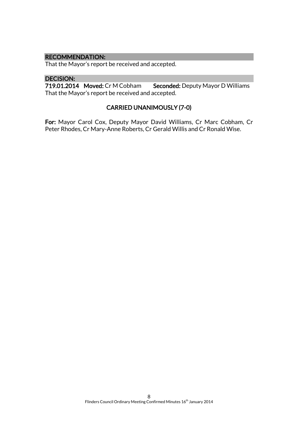#### RECOMMENDATION:

That the Mayor's report be received and accepted.

#### DECISION:

719.01.2014 Moved: Cr M Cobham Seconded: Deputy Mayor D Williams That the Mayor's report be received and accepted.

## CARRIED UNANIMOUSLY (7-0)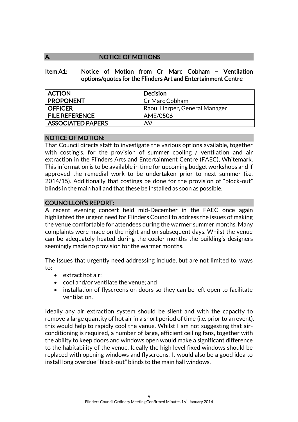## A. NOTICE OF MOTIONS

Item A1: Notice of Motion from Cr Marc Cobham – Ventilation options/quotes for the Flinders Art and Entertainment Centre

| <b>ACTION</b>            | Decision                      |
|--------------------------|-------------------------------|
| <b>PROPONENT</b>         | Cr Marc Cobham                |
| OFFICER                  | Raoul Harper, General Manager |
| <b>FILE REFERENCE</b>    | AME/0506                      |
| <b>ASSOCIATED PAPERS</b> | Nil                           |

## NOTICE OF MOTION:

That Council directs staff to investigate the various options available, together with costing's, for the provision of summer cooling / ventilation and air extraction in the Flinders Arts and Entertainment Centre (FAEC), Whitemark. This information is to be available in time for upcoming budget workshops and if approved the remedial work to be undertaken prior to next summer (i.e. 2014/15). Additionally that costings be done for the provision of "block-out" blinds in the main hall and that these be installed as soon as possible.

## COUNCILLOR'S REPORT:

A recent evening concert held mid-December in the FAEC once again highlighted the urgent need for Flinders Council to address the issues of making the venue comfortable for attendees during the warmer summer months. Many complaints were made on the night and on subsequent days. Whilst the venue can be adequately heated during the cooler months the building's designers seemingly made no provision for the warmer months.

The issues that urgently need addressing include, but are not limited to, ways to:

- extract hot air:
- cool and/or ventilate the venue; and
- installation of flyscreens on doors so they can be left open to facilitate ventilation.

Ideally any air extraction system should be silent and with the capacity to remove a large quantity of hot air in a short period of time (i.e. prior to an event), this would help to rapidly cool the venue. Whilst I am not suggesting that airconditioning is required, a number of large, efficient ceiling fans, together with the ability to keep doors and windows open would make a significant difference to the habitability of the venue. Ideally the high level fixed windows should be replaced with opening windows and flyscreens. It would also be a good idea to install long overdue "black-out" blinds to the main hall windows.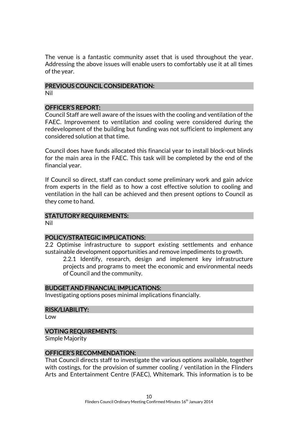The venue is a fantastic community asset that is used throughout the year. Addressing the above issues will enable users to comfortably use it at all times of the year.

## PREVIOUS COUNCIL CONSIDERATION:

Nil

## OFFICER'S REPORT:

Council Staff are well aware of the issues with the cooling and ventilation of the FAEC. Improvement to ventilation and cooling were considered during the redevelopment of the building but funding was not sufficient to implement any considered solution at that time.

Council does have funds allocated this financial year to install block-out blinds for the main area in the FAEC. This task will be completed by the end of the financial year.

If Council so direct, staff can conduct some preliminary work and gain advice from experts in the field as to how a cost effective solution to cooling and ventilation in the hall can be achieved and then present options to Council as they come to hand.

## STATUTORY REQUIREMENTS:

Nil

## POLICY/STRATEGIC IMPLICATIONS:

2.2 Optimise infrastructure to support existing settlements and enhance sustainable development opportunities and remove impediments to growth.

2.2.1 Identify, research, design and implement key infrastructure projects and programs to meet the economic and environmental needs of Council and the community.

## BUDGET AND FINANCIAL IMPLICATIONS:

Investigating options poses minimal implications financially.

#### RISK/LIABILITY:

Low

## VOTING REQUIREMENTS:

Simple Majority

#### OFFICER'S RECOMMENDATION:

That Council directs staff to investigate the various options available, together with costings, for the provision of summer cooling / ventilation in the Flinders Arts and Entertainment Centre (FAEC), Whitemark. This information is to be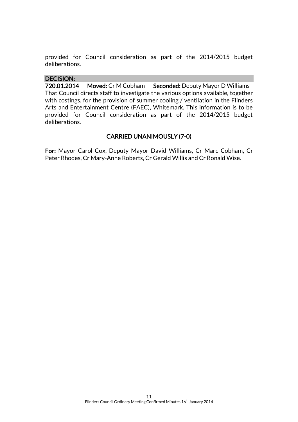provided for Council consideration as part of the 2014/2015 budget deliberations.

## DECISION:

720.01.2014 Moved: Cr M Cobham Seconded: Deputy Mayor D Williams That Council directs staff to investigate the various options available, together with costings, for the provision of summer cooling / ventilation in the Flinders Arts and Entertainment Centre (FAEC), Whitemark. This information is to be provided for Council consideration as part of the 2014/2015 budget deliberations.

## CARRIED UNANIMOUSLY (7-0)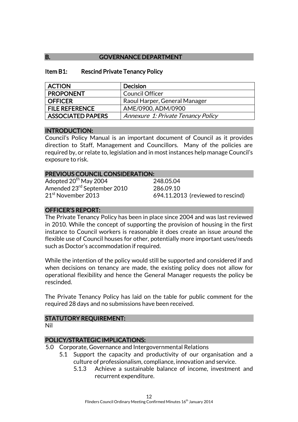## B. **GOVERNANCE DEPARTMENT**

#### Item B1: Rescind Private Tenancy Policy

| <b>ACTION</b>            | <b>Decision</b>                    |
|--------------------------|------------------------------------|
| <b>PROPONENT</b>         | Council Officer                    |
| <b>OFFICER</b>           | Raoul Harper, General Manager      |
| <b>FILE REFERENCE</b>    | AME/0900, ADM/0900                 |
| <b>ASSOCIATED PAPERS</b> | Annexure 1: Private Tenancy Policy |

## INTRODUCTION:

Council's Policy Manual is an important document of Council as it provides direction to Staff, Management and Councillors. Many of the policies are required by, or relate to, legislation and in most instances help manage Council's exposure to risk.

#### PREVIOUS COUNCIL CONSIDERATION:

Adopted  $20^{th}$  May 2004 248.05.04 Amended 23<sup>rd</sup> September 2010 286.09.10<br>21<sup>st</sup> November 2013 694.11.20

694.11.2013 (reviewed to rescind)

## OFFICER'S REPORT:

The Private Tenancy Policy has been in place since 2004 and was last reviewed in 2010. While the concept of supporting the provision of housing in the first instance to Council workers is reasonable it does create an issue around the flexible use of Council houses for other, potentially more important uses/needs such as Doctor's accommodation if required.

While the intention of the policy would still be supported and considered if and when decisions on tenancy are made, the existing policy does not allow for operational flexibility and hence the General Manager requests the policy be rescinded.

The Private Tenancy Policy has laid on the table for public comment for the required 28 days and no submissions have been received.

## STATUTORY REQUIREMENT:

Nil

## POLICY/STRATEGIC IMPLICATIONS:

- 5.0 Corporate, Governance and Intergovernmental Relations
	- 5.1 Support the capacity and productivity of our organisation and a culture of professionalism, compliance, innovation and service.
		- 5.1.3 Achieve a sustainable balance of income, investment and recurrent expenditure.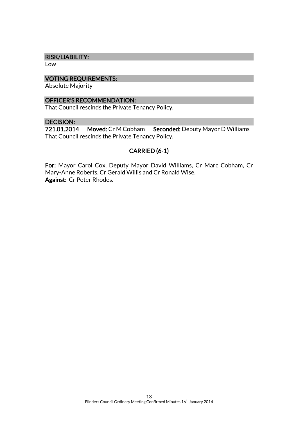#### RISK/LIABILITY:

Low

## VOTING REQUIREMENTS:

Absolute Majority

#### OFFICER'S RECOMMENDATION:

That Council rescinds the Private Tenancy Policy.

## DECISION:

721.01.2014 Moved: Cr M Cobham Seconded: Deputy Mayor D Williams That Council rescinds the Private Tenancy Policy.

## CARRIED (6-1)

For: Mayor Carol Cox, Deputy Mayor David Williams, Cr Marc Cobham, Cr Mary-Anne Roberts, Cr Gerald Willis and Cr Ronald Wise. Against: Cr Peter Rhodes.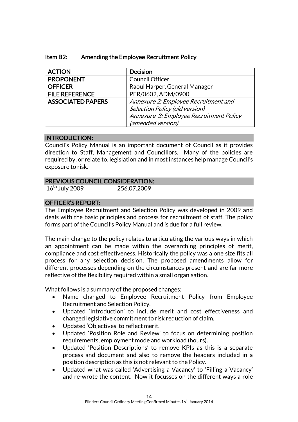| <b>ACTION</b>            | <b>Decision</b>                         |
|--------------------------|-----------------------------------------|
| <b>PROPONENT</b>         | Council Officer                         |
| <b>OFFICER</b>           | Raoul Harper, General Manager           |
| <b>FILE REFERENCE</b>    | PER/0602, ADM/0900                      |
| <b>ASSOCIATED PAPERS</b> | Annexure 2: Employee Recruitment and    |
|                          | Selection Policy (old version)          |
|                          | Annexure 3: Employee Recruitment Policy |
|                          | (amended version)                       |

## Item B2: Amending the Employee Recruitment Policy

#### INTRODUCTION:

Council's Policy Manual is an important document of Council as it provides direction to Staff, Management and Councillors. Many of the policies are required by, or relate to, legislation and in most instances help manage Council's exposure to risk.

## PREVIOUS COUNCIL CONSIDERATION:

16th July 2009 256.07.2009

## OFFICER'S REPORT:

The Employee Recruitment and Selection Policy was developed in 2009 and deals with the basic principles and process for recruitment of staff. The policy forms part of the Council's Policy Manual and is due for a full review.

The main change to the policy relates to articulating the various ways in which an appointment can be made within the overarching principles of merit, compliance and cost effectiveness. Historically the policy was a one size fits all process for any selection decision. The proposed amendments allow for different processes depending on the circumstances present and are far more reflective of the flexibility required within a small organisation.

What follows is a summary of the proposed changes:

- Name changed to Employee Recruitment Policy from Employee Recruitment and Selection Policy.
- Updated 'Introduction' to include merit and cost effectiveness and changed legislative commitment to risk reduction of claim.
- Updated 'Objectives' to reflect merit.
- Updated 'Position Role and Review' to focus on determining position requirements, employment mode and workload (hours).
- Updated 'Position Descriptions' to remove KPIs as this is a separate process and document and also to remove the headers included in a position description as this is not relevant to the Policy.
- Updated what was called 'Advertising a Vacancy' to 'Filling a Vacancy' and re-wrote the content. Now it focusses on the different ways a role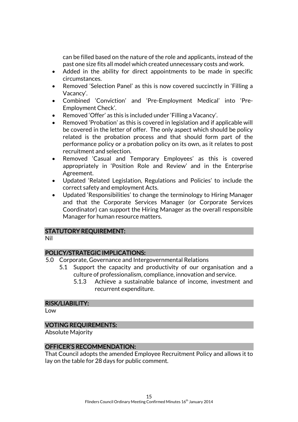can be filled based on the nature of the role and applicants, instead of the past one size fits all model which created unnecessary costs and work.

- Added in the ability for direct appointments to be made in specific circumstances.
- Removed 'Selection Panel' as this is now covered succinctly in 'Filling a Vacancy'.
- Combined 'Conviction' and 'Pre-Employment Medical' into 'Pre-Employment Check'.
- Removed 'Offer' as this is included under 'Filling a Vacancy'.
- Removed 'Probation' as this is covered in legislation and if applicable will be covered in the letter of offer. The only aspect which should be policy related is the probation process and that should form part of the performance policy or a probation policy on its own, as it relates to post recruitment and selection.
- Removed 'Casual and Temporary Employees' as this is covered appropriately in 'Position Role and Review' and in the Enterprise Agreement.
- Updated 'Related Legislation, Regulations and Policies' to include the correct safety and employment Acts.
- Updated 'Responsibilities' to change the terminology to Hiring Manager and that the Corporate Services Manager (or Corporate Services Coordinator) can support the Hiring Manager as the overall responsible Manager for human resource matters.

#### STATUTORY REQUIREMENT:

Nil

## POLICY/STRATEGIC IMPLICATIONS:

- 5.0 Corporate, Governance and Intergovernmental Relations
	- 5.1 Support the capacity and productivity of our organisation and a culture of professionalism, compliance, innovation and service.
		- 5.1.3 Achieve a sustainable balance of income, investment and recurrent expenditure.

#### RISK/LIABILITY:

Low

#### VOTING REQUIREMENTS:

Absolute Majority

#### OFFICER'S RECOMMENDATION:

That Council adopts the amended Employee Recruitment Policy and allows it to lay on the table for 28 days for public comment.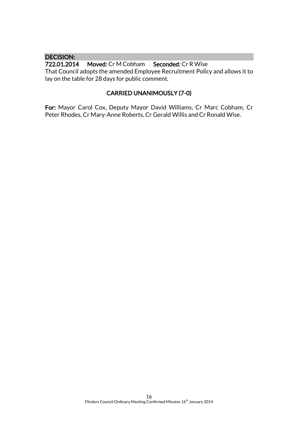## DECISION:<br>722.01.2014

Moved: Cr M Cobham Seconded: Cr R Wise That Council adopts the amended Employee Recruitment Policy and allows it to lay on the table for 28 days for public comment.

## CARRIED UNANIMOUSLY (7-0)